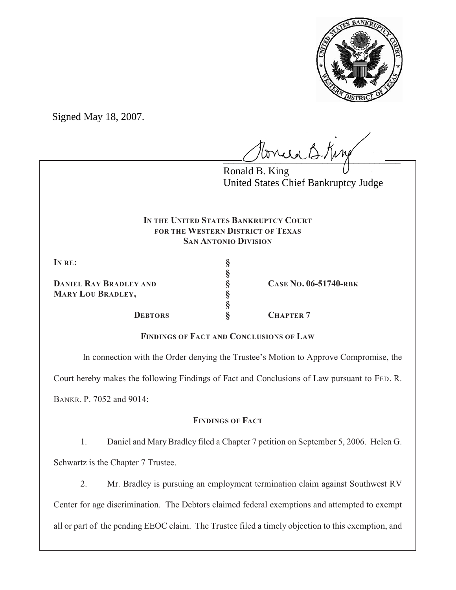

Signed May 18, 2007.

tonie B. King

Ronald B. King United States Chief Bankruptcy Judge

# **IN THE UNITED STATES BANKRUPTCY COURT FOR THE WESTERN DISTRICT OF TEXAS SAN ANTONIO DIVISION**

**§**

**§**

**IN RE: §**

**DANIEL RAY BRADLEY AND § CASE NO. 06-51740-RBK MARY LOU BRADLEY, §**

**DEBTORS § CHAPTER 7**

**FINDINGS OF FACT AND CONCLUSIONS OF LAW**

In connection with the Order denying the Trustee's Motion to Approve Compromise, the

Court hereby makes the following Findings of Fact and Conclusions of Law pursuant to FED. R.

BANKR. P. 7052 and 9014:

# **FINDINGS OF FACT**

1. Daniel and Mary Bradley filed a Chapter 7 petition on September 5, 2006. Helen G. Schwartz is the Chapter 7 Trustee.

2. Mr. Bradley is pursuing an employment termination claim against Southwest RV Center for age discrimination. The Debtors claimed federal exemptions and attempted to exempt all or part of the pending EEOC claim. The Trustee filed a timely objection to this exemption, and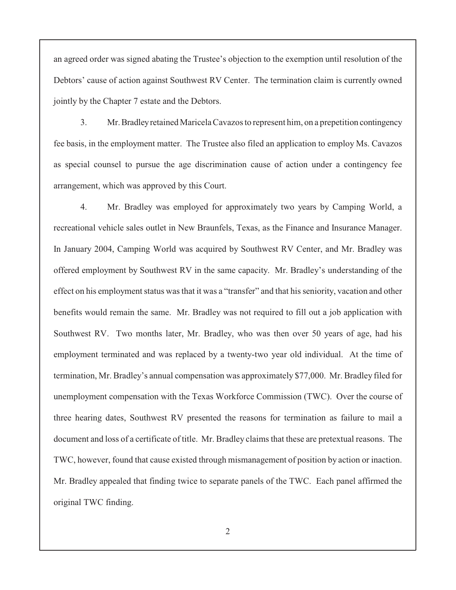an agreed order was signed abating the Trustee's objection to the exemption until resolution of the Debtors' cause of action against Southwest RV Center. The termination claim is currently owned jointly by the Chapter 7 estate and the Debtors.

3. Mr. Bradley retained Maricela Cavazos to represent him, on a prepetition contingency fee basis, in the employment matter. The Trustee also filed an application to employ Ms. Cavazos as special counsel to pursue the age discrimination cause of action under a contingency fee arrangement, which was approved by this Court.

4. Mr. Bradley was employed for approximately two years by Camping World, a recreational vehicle sales outlet in New Braunfels, Texas, as the Finance and Insurance Manager. In January 2004, Camping World was acquired by Southwest RV Center, and Mr. Bradley was offered employment by Southwest RV in the same capacity. Mr. Bradley's understanding of the effect on his employment status was that it was a "transfer" and that his seniority, vacation and other benefits would remain the same. Mr. Bradley was not required to fill out a job application with Southwest RV. Two months later, Mr. Bradley, who was then over 50 years of age, had his employment terminated and was replaced by a twenty-two year old individual. At the time of termination, Mr. Bradley's annual compensation was approximately \$77,000. Mr. Bradley filed for unemployment compensation with the Texas Workforce Commission (TWC). Over the course of three hearing dates, Southwest RV presented the reasons for termination as failure to mail a document and loss of a certificate of title. Mr. Bradley claims that these are pretextual reasons. The TWC, however, found that cause existed through mismanagement of position by action or inaction. Mr. Bradley appealed that finding twice to separate panels of the TWC. Each panel affirmed the original TWC finding.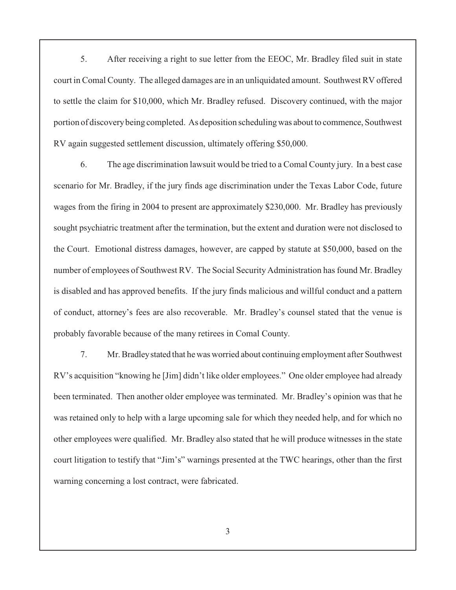5. After receiving a right to sue letter from the EEOC, Mr. Bradley filed suit in state court in Comal County. The alleged damages are in an unliquidated amount. Southwest RV offered to settle the claim for \$10,000, which Mr. Bradley refused. Discovery continued, with the major portion of discovery being completed. As deposition scheduling was about to commence, Southwest RV again suggested settlement discussion, ultimately offering \$50,000.

6. The age discrimination lawsuit would be tried to a Comal County jury. In a best case scenario for Mr. Bradley, if the jury finds age discrimination under the Texas Labor Code, future wages from the firing in 2004 to present are approximately \$230,000. Mr. Bradley has previously sought psychiatric treatment after the termination, but the extent and duration were not disclosed to the Court. Emotional distress damages, however, are capped by statute at \$50,000, based on the number of employees of Southwest RV. The Social Security Administration has found Mr. Bradley is disabled and has approved benefits. If the jury finds malicious and willful conduct and a pattern of conduct, attorney's fees are also recoverable. Mr. Bradley's counsel stated that the venue is probably favorable because of the many retirees in Comal County.

7. Mr. Bradley stated that he was worried about continuing employment after Southwest RV's acquisition "knowing he [Jim] didn't like older employees." One older employee had already been terminated. Then another older employee was terminated. Mr. Bradley's opinion was that he was retained only to help with a large upcoming sale for which they needed help, and for which no other employees were qualified. Mr. Bradley also stated that he will produce witnesses in the state court litigation to testify that "Jim's" warnings presented at the TWC hearings, other than the first warning concerning a lost contract, were fabricated.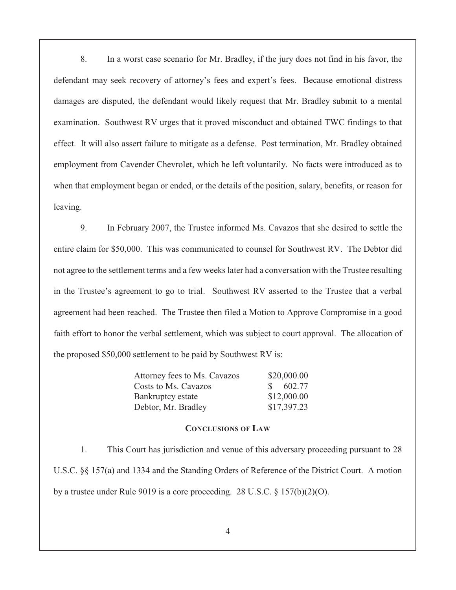8. In a worst case scenario for Mr. Bradley, if the jury does not find in his favor, the defendant may seek recovery of attorney's fees and expert's fees. Because emotional distress damages are disputed, the defendant would likely request that Mr. Bradley submit to a mental examination. Southwest RV urges that it proved misconduct and obtained TWC findings to that effect. It will also assert failure to mitigate as a defense. Post termination, Mr. Bradley obtained employment from Cavender Chevrolet, which he left voluntarily. No facts were introduced as to when that employment began or ended, or the details of the position, salary, benefits, or reason for leaving.

9. In February 2007, the Trustee informed Ms. Cavazos that she desired to settle the entire claim for \$50,000. This was communicated to counsel for Southwest RV. The Debtor did not agree to the settlement terms and a few weeks later had a conversation with the Trustee resulting in the Trustee's agreement to go to trial. Southwest RV asserted to the Trustee that a verbal agreement had been reached. The Trustee then filed a Motion to Approve Compromise in a good faith effort to honor the verbal settlement, which was subject to court approval. The allocation of the proposed \$50,000 settlement to be paid by Southwest RV is:

| Attorney fees to Ms. Cavazos | \$20,000.00  |
|------------------------------|--------------|
| Costs to Ms. Cavazos         | $\$\,602.77$ |
| Bankruptcy estate            | \$12,000.00  |
| Debtor, Mr. Bradley          | \$17,397.23  |

### **CONCLUSIONS OF LAW**

1. This Court has jurisdiction and venue of this adversary proceeding pursuant to 28 U.S.C. §§ 157(a) and 1334 and the Standing Orders of Reference of the District Court. A motion by a trustee under Rule 9019 is a core proceeding. 28 U.S.C. § 157(b)(2)(O).

4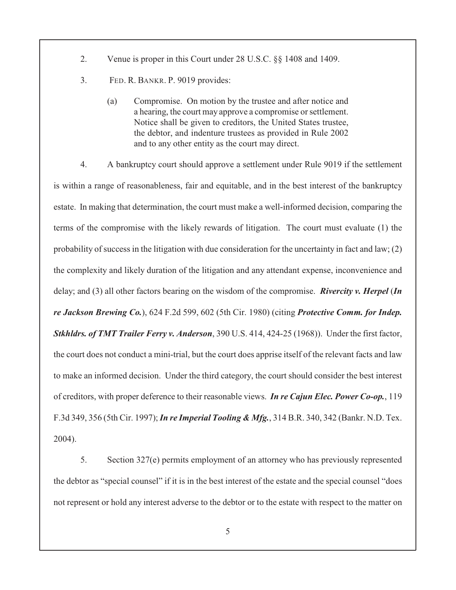- 2. Venue is proper in this Court under 28 U.S.C. §§ 1408 and 1409.
- 3. FED. R. BANKR. P. 9019 provides:
	- (a) Compromise. On motion by the trustee and after notice and a hearing, the court may approve a compromise or settlement. Notice shall be given to creditors, the United States trustee, the debtor, and indenture trustees as provided in Rule 2002 and to any other entity as the court may direct.

4. A bankruptcy court should approve a settlement under Rule 9019 if the settlement is within a range of reasonableness, fair and equitable, and in the best interest of the bankruptcy estate. In making that determination, the court must make a well-informed decision, comparing the terms of the compromise with the likely rewards of litigation. The court must evaluate (1) the probability of success in the litigation with due consideration for the uncertainty in fact and law; (2) the complexity and likely duration of the litigation and any attendant expense, inconvenience and delay; and (3) all other factors bearing on the wisdom of the compromise. *Rivercity v. Herpel* (*In re Jackson Brewing Co.*), 624 F.2d 599, 602 (5th Cir. 1980) (citing *Protective Comm. for Indep. Stkhldrs. of TMT Trailer Ferry v. Anderson*, 390 U.S. 414, 424-25 (1968)). Under the first factor, the court does not conduct a mini-trial, but the court does apprise itself of the relevant facts and law to make an informed decision. Under the third category, the court should consider the best interest of creditors, with proper deference to their reasonable views. *In re Cajun Elec. Power Co-op.*, 119 F.3d 349, 356 (5th Cir. 1997); *In re Imperial Tooling & Mfg.*, 314 B.R. 340, 342 (Bankr. N.D. Tex. 2004).

5. Section 327(e) permits employment of an attorney who has previously represented the debtor as "special counsel" if it is in the best interest of the estate and the special counsel "does not represent or hold any interest adverse to the debtor or to the estate with respect to the matter on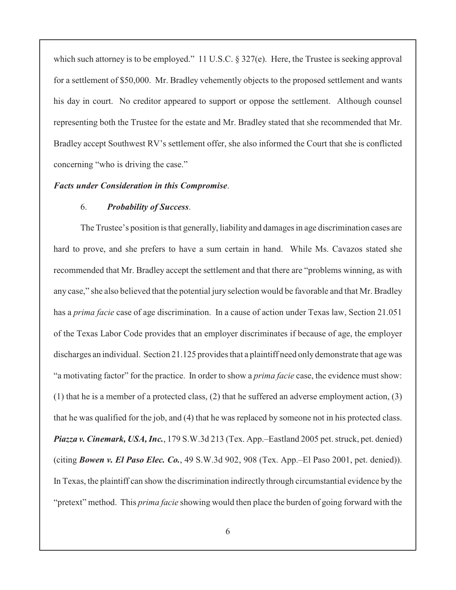which such attorney is to be employed." 11 U.S.C. § 327(e). Here, the Trustee is seeking approval for a settlement of \$50,000. Mr. Bradley vehemently objects to the proposed settlement and wants his day in court. No creditor appeared to support or oppose the settlement. Although counsel representing both the Trustee for the estate and Mr. Bradley stated that she recommended that Mr. Bradley accept Southwest RV's settlement offer, she also informed the Court that she is conflicted concerning "who is driving the case."

### *Facts under Consideration in this Compromise*.

#### 6. *Probability of Success*.

The Trustee's position is that generally, liability and damages in age discrimination cases are hard to prove, and she prefers to have a sum certain in hand. While Ms. Cavazos stated she recommended that Mr. Bradley accept the settlement and that there are "problems winning, as with any case," she also believed that the potential jury selection would be favorable and that Mr. Bradley has a *prima facie* case of age discrimination. In a cause of action under Texas law, Section 21.051 of the Texas Labor Code provides that an employer discriminates if because of age, the employer discharges an individual. Section 21.125 provides that a plaintiff need only demonstrate that age was "a motivating factor" for the practice. In order to show a *prima facie* case, the evidence must show: (1) that he is a member of a protected class, (2) that he suffered an adverse employment action, (3) that he was qualified for the job, and (4) that he was replaced by someone not in his protected class. *Piazza v. Cinemark, USA, Inc.*, 179 S.W.3d 213 (Tex. App.–Eastland 2005 pet. struck, pet. denied) (citing *Bowen v. El Paso Elec. Co.*, 49 S.W.3d 902, 908 (Tex. App.–El Paso 2001, pet. denied)). In Texas, the plaintiff can show the discrimination indirectly through circumstantial evidence by the "pretext" method. This *prima facie* showing would then place the burden of going forward with the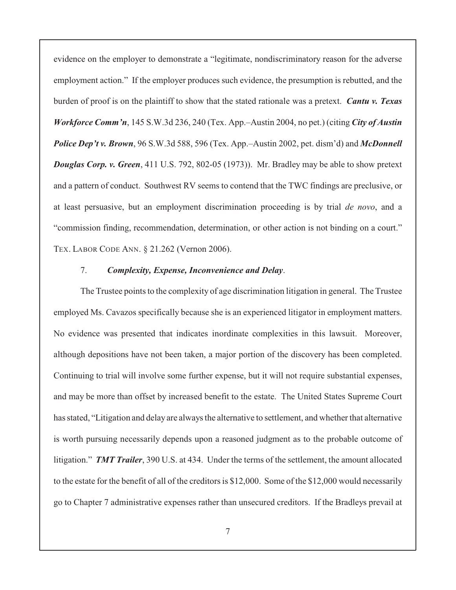evidence on the employer to demonstrate a "legitimate, nondiscriminatory reason for the adverse employment action." If the employer produces such evidence, the presumption is rebutted, and the burden of proof is on the plaintiff to show that the stated rationale was a pretext. *Cantu v. Texas Workforce Comm'n*, 145 S.W.3d 236, 240 (Tex. App.–Austin 2004, no pet.) (citing *City of Austin Police Dep't v. Brown*, 96 S.W.3d 588, 596 (Tex. App.–Austin 2002, pet. dism'd) and *McDonnell Douglas Corp. v. Green*, 411 U.S. 792, 802-05 (1973)). Mr. Bradley may be able to show pretext and a pattern of conduct. Southwest RV seems to contend that the TWC findings are preclusive, or at least persuasive, but an employment discrimination proceeding is by trial *de novo*, and a "commission finding, recommendation, determination, or other action is not binding on a court." TEX. LABOR CODE ANN. § 21.262 (Vernon 2006).

## 7. *Complexity, Expense, Inconvenience and Delay*.

The Trustee points to the complexity of age discrimination litigation in general. The Trustee employed Ms. Cavazos specifically because she is an experienced litigator in employment matters. No evidence was presented that indicates inordinate complexities in this lawsuit. Moreover, although depositions have not been taken, a major portion of the discovery has been completed. Continuing to trial will involve some further expense, but it will not require substantial expenses, and may be more than offset by increased benefit to the estate. The United States Supreme Court has stated, "Litigation and delayare always the alternative to settlement, and whether that alternative is worth pursuing necessarily depends upon a reasoned judgment as to the probable outcome of litigation." *TMT Trailer*, 390 U.S. at 434. Under the terms of the settlement, the amount allocated to the estate for the benefit of all of the creditors is \$12,000. Some of the \$12,000 would necessarily go to Chapter 7 administrative expenses rather than unsecured creditors. If the Bradleys prevail at